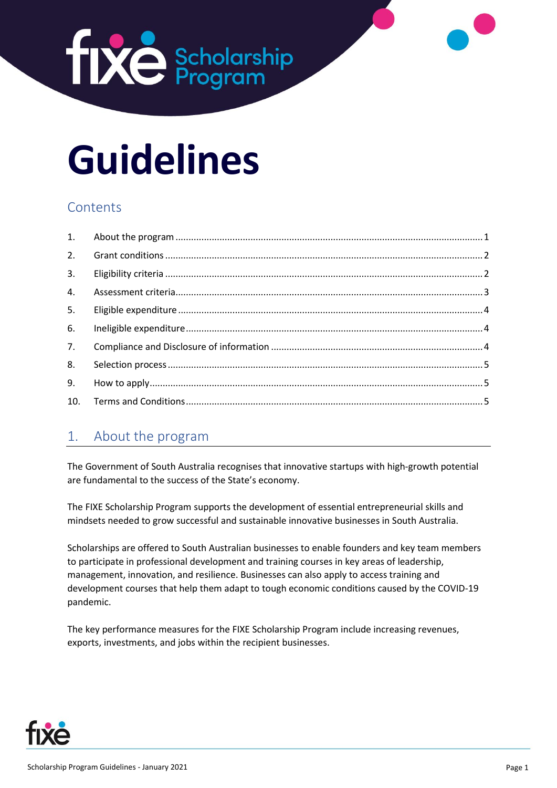

# **Guidelines**

# **Contents**

| 2.  |  |
|-----|--|
| 3.  |  |
| 4.  |  |
| 5.  |  |
| 6.  |  |
| 7.  |  |
| 8.  |  |
| 9.  |  |
| 10. |  |
|     |  |

# <span id="page-0-0"></span>1. About the program

The Government of South Australia recognises that innovative startups with high-growth potential are fundamental to the success of the State's economy.

The FIXE Scholarship Program supports the development of essential entrepreneurial skills and mindsets needed to grow successful and sustainable innovative businesses in South Australia.

Scholarships are offered to South Australian businesses to enable founders and key team members to participate in professional development and training courses in key areas of leadership, management, innovation, and resilience. Businesses can also apply to access training and development courses that help them adapt to tough economic conditions caused by the COVID-19 pandemic.

The key performance measures for the FIXE Scholarship Program include increasing revenues, exports, investments, and jobs within the recipient businesses.

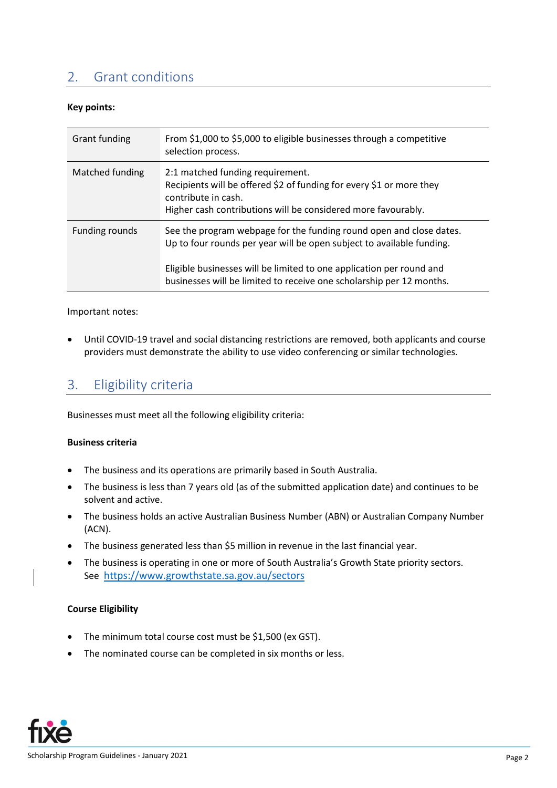## <span id="page-1-0"></span>2. Grant conditions

#### **Key points:**

| <b>Grant funding</b> | From \$1,000 to \$5,000 to eligible businesses through a competitive<br>selection process.                                                                                                                                                                                                   |
|----------------------|----------------------------------------------------------------------------------------------------------------------------------------------------------------------------------------------------------------------------------------------------------------------------------------------|
| Matched funding      | 2:1 matched funding requirement.<br>Recipients will be offered \$2 of funding for every \$1 or more they<br>contribute in cash.<br>Higher cash contributions will be considered more favourably.                                                                                             |
| Funding rounds       | See the program webpage for the funding round open and close dates.<br>Up to four rounds per year will be open subject to available funding.<br>Eligible businesses will be limited to one application per round and<br>businesses will be limited to receive one scholarship per 12 months. |

Important notes:

• Until COVID-19 travel and social distancing restrictions are removed, both applicants and course providers must demonstrate the ability to use video conferencing or similar technologies.

## <span id="page-1-1"></span>3. Eligibility criteria

Businesses must meet all the following eligibility criteria:

#### **Business criteria**

- The business and its operations are primarily based in South Australia.
- The business is less than 7 years old (as of the submitted application date) and continues to be solvent and active.
- The business holds an active Australian Business Number (ABN) or Australian Company Number (ACN).
- The business generated less than \$5 million in revenue in the last financial year.
- The business is operating in one or more of South Australia's Growth State priority sectors. See <https://www.growthstate.sa.gov.au/sectors>

#### **Course Eligibility**

- The minimum total course cost must be \$1,500 (ex GST).
- The nominated course can be completed in six months or less.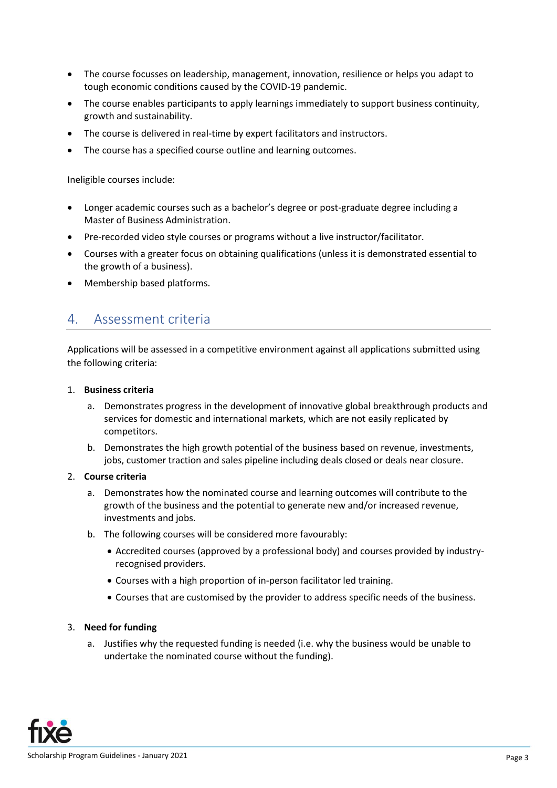- The course focusses on leadership, management, innovation, resilience or helps you adapt to tough economic conditions caused by the COVID-19 pandemic.
- The course enables participants to apply learnings immediately to support business continuity, growth and sustainability.
- The course is delivered in real-time by expert facilitators and instructors.
- The course has a specified course outline and learning outcomes.

Ineligible courses include:

- Longer academic courses such as a bachelor's degree or post-graduate degree including a Master of Business Administration.
- Pre-recorded video style courses or programs without a live instructor/facilitator.
- Courses with a greater focus on obtaining qualifications (unless it is demonstrated essential to the growth of a business).
- Membership based platforms.

### <span id="page-2-0"></span>4. Assessment criteria

Applications will be assessed in a competitive environment against all applications submitted using the following criteria:

#### 1. **Business criteria**

- a. Demonstrates progress in the development of innovative global breakthrough products and services for domestic and international markets, which are not easily replicated by competitors.
- b. Demonstrates the high growth potential of the business based on revenue, investments, jobs, customer traction and sales pipeline including deals closed or deals near closure.

#### 2. **Course criteria**

- a. Demonstrates how the nominated course and learning outcomes will contribute to the growth of the business and the potential to generate new and/or increased revenue, investments and jobs.
- b. The following courses will be considered more favourably:
	- Accredited courses (approved by a professional body) and courses provided by industryrecognised providers.
	- Courses with a high proportion of in-person facilitator led training.
	- Courses that are customised by the provider to address specific needs of the business.

#### 3. **Need for funding**

a. Justifies why the requested funding is needed (i.e. why the business would be unable to undertake the nominated course without the funding).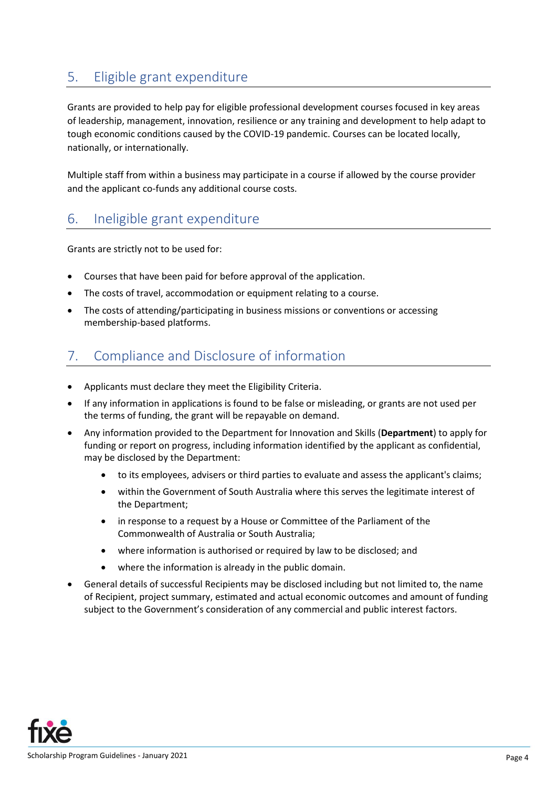# <span id="page-3-0"></span>5. Eligible grant expenditure

Grants are provided to help pay for eligible professional development courses focused in key areas of leadership, management, innovation, resilience or any training and development to help adapt to tough economic conditions caused by the COVID-19 pandemic. Courses can be located locally, nationally, or internationally.

Multiple staff from within a business may participate in a course if allowed by the course provider and the applicant co-funds any additional course costs.

## <span id="page-3-1"></span>6. Ineligible grant expenditure

Grants are strictly not to be used for:

- Courses that have been paid for before approval of the application.
- The costs of travel, accommodation or equipment relating to a course.
- The costs of attending/participating in business missions or conventions or accessing membership-based platforms.

# <span id="page-3-2"></span>7. Compliance and Disclosure of information

- Applicants must declare they meet the Eligibility Criteria.
- If any information in applications is found to be false or misleading, or grants are not used per the terms of funding, the grant will be repayable on demand.
- Any information provided to the Department for Innovation and Skills (**Department**) to apply for funding or report on progress, including information identified by the applicant as confidential, may be disclosed by the Department:
	- to its employees, advisers or third parties to evaluate and assess the applicant's claims;
	- within the Government of South Australia where this serves the legitimate interest of the Department;
	- in response to a request by a House or Committee of the Parliament of the Commonwealth of Australia or South Australia;
	- where information is authorised or required by law to be disclosed; and
	- where the information is already in the public domain.
- General details of successful Recipients may be disclosed including but not limited to, the name of Recipient, project summary, estimated and actual economic outcomes and amount of funding subject to the Government's consideration of any commercial and public interest factors.

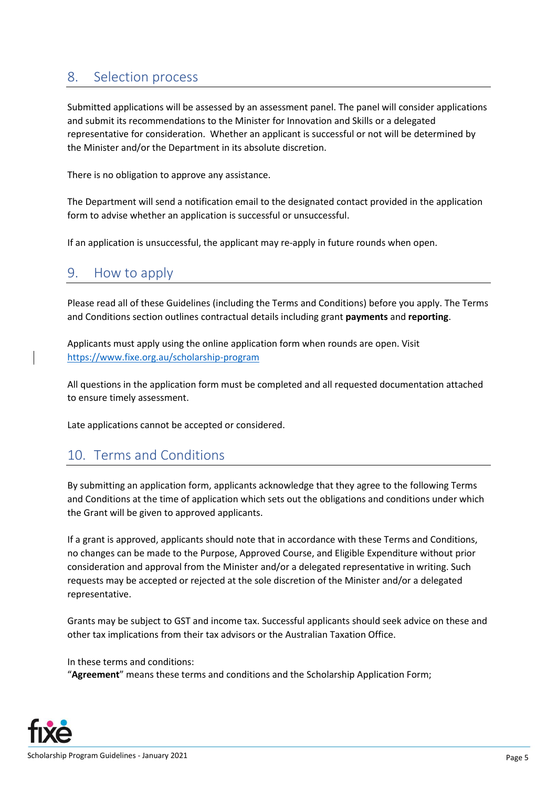## <span id="page-4-0"></span>8. Selection process

Submitted applications will be assessed by an assessment panel. The panel will consider applications and submit its recommendations to the Minister for Innovation and Skills or a delegated representative for consideration. Whether an applicant is successful or not will be determined by the Minister and/or the Department in its absolute discretion.

There is no obligation to approve any assistance.

The Department will send a notification email to the designated contact provided in the application form to advise whether an application is successful or unsuccessful.

If an application is unsuccessful, the applicant may re-apply in future rounds when open.

## <span id="page-4-1"></span>9. How to apply

Please read all of these Guidelines (including the Terms and Conditions) before you apply. The Terms and Conditions section outlines contractual details including grant **payments** and **reporting**.

Applicants must apply using the online application form when rounds are open. Visit <https://www.fixe.org.au/scholarship-program>

All questions in the application form must be completed and all requested documentation attached to ensure timely assessment.

Late applications cannot be accepted or considered.

# <span id="page-4-2"></span>10. Terms and Conditions

By submitting an application form, applicants acknowledge that they agree to the following [Terms](https://treasury.sa.gov.au/Growing-South-Australia/COVID-19/grant-terms-and-conditions)  [and Conditions](https://treasury.sa.gov.au/Growing-South-Australia/COVID-19/grant-terms-and-conditions) at the time of application which sets out the obligations and conditions under which the Grant will be given to approved applicants.

If a grant is approved, applicants should note that in accordance with these Terms and Conditions, no changes can be made to the Purpose, Approved Course, and Eligible Expenditure without prior consideration and approval from the Minister and/or a delegated representative in writing. Such requests may be accepted or rejected at the sole discretion of the Minister and/or a delegated representative.

Grants may be subject to GST and income tax. Successful applicants should seek advice on these and other tax implications from their tax advisors or the Australian Taxation Office.

In these terms and conditions:

"**Agreement**" means these terms and conditions and the Scholarship Application Form;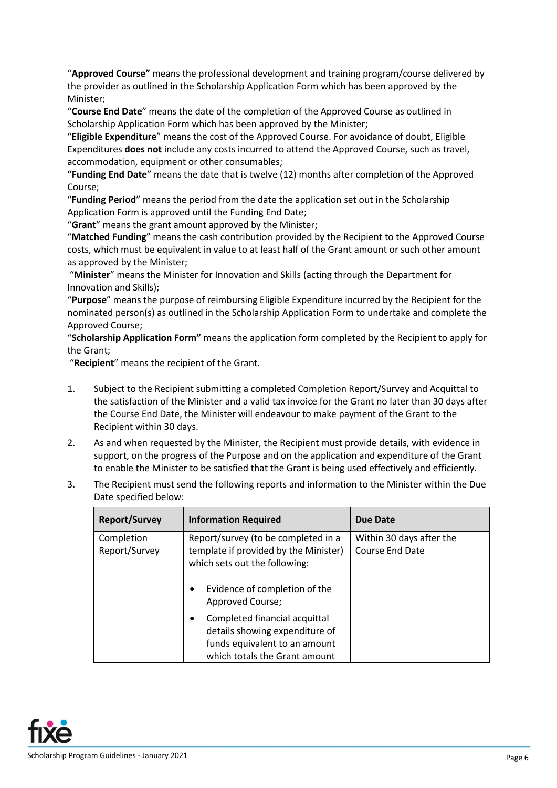"**Approved Course"** means the professional development and training program/course delivered by the provider as outlined in the Scholarship Application Form which has been approved by the Minister;

"**Course End Date**" means the date of the completion of the Approved Course as outlined in Scholarship Application Form which has been approved by the Minister;

"**Eligible Expenditure**" means the cost of the Approved Course. For avoidance of doubt, Eligible Expenditures **does not** include any costs incurred to attend the Approved Course, such as travel, accommodation, equipment or other consumables;

**"Funding End Date**" means the date that is twelve (12) months after completion of the Approved Course;

"**Funding Period**" means the period from the date the application set out in the Scholarship Application Form is approved until the Funding End Date;

"**Grant**" means the grant amount approved by the Minister;

"**Matched Funding**" means the cash contribution provided by the Recipient to the Approved Course costs, which must be equivalent in value to at least half of the Grant amount or such other amount as approved by the Minister;

"**Minister**" means the Minister for Innovation and Skills (acting through the Department for Innovation and Skills);

"**Purpose**" means the purpose of reimbursing Eligible Expenditure incurred by the Recipient for the nominated person(s) as outlined in the Scholarship Application Form to undertake and complete the Approved Course;

"**Scholarship Application Form"** means the application form completed by the Recipient to apply for the Grant;

"**Recipient**" means the recipient of the Grant.

- 1. Subject to the Recipient submitting a completed Completion Report/Survey and Acquittal to the satisfaction of the Minister and a valid tax invoice for the Grant no later than 30 days after the Course End Date, the Minister will endeavour to make payment of the Grant to the Recipient within 30 days.
- 2. As and when requested by the Minister, the Recipient must provide details, with evidence in support, on the progress of the Purpose and on the application and expenditure of the Grant to enable the Minister to be satisfied that the Grant is being used effectively and efficiently.
- 3. The Recipient must send the following reports and information to the Minister within the Due Date specified below:

| <b>Report/Survey</b>        | <b>Information Required</b>                                                                                                                    | Due Date                                    |
|-----------------------------|------------------------------------------------------------------------------------------------------------------------------------------------|---------------------------------------------|
| Completion<br>Report/Survey | Report/survey (to be completed in a<br>template if provided by the Minister)<br>which sets out the following:                                  | Within 30 days after the<br>Course End Date |
|                             | Evidence of completion of the<br>$\bullet$<br>Approved Course;                                                                                 |                                             |
|                             | Completed financial acquittal<br>$\bullet$<br>details showing expenditure of<br>funds equivalent to an amount<br>which totals the Grant amount |                                             |

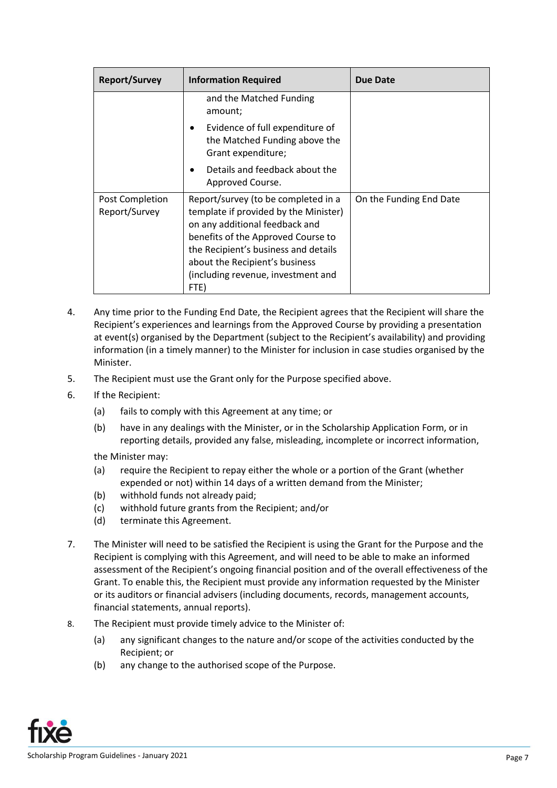| <b>Report/Survey</b>             | <b>Information Required</b>                                                                                                                                                                                                                                                  | Due Date                |
|----------------------------------|------------------------------------------------------------------------------------------------------------------------------------------------------------------------------------------------------------------------------------------------------------------------------|-------------------------|
|                                  | and the Matched Funding<br>amount;                                                                                                                                                                                                                                           |                         |
|                                  | Evidence of full expenditure of<br>$\bullet$<br>the Matched Funding above the<br>Grant expenditure;                                                                                                                                                                          |                         |
|                                  | Details and feedback about the<br>Approved Course.                                                                                                                                                                                                                           |                         |
| Post Completion<br>Report/Survey | Report/survey (to be completed in a<br>template if provided by the Minister)<br>on any additional feedback and<br>benefits of the Approved Course to<br>the Recipient's business and details<br>about the Recipient's business<br>(including revenue, investment and<br>FTE) | On the Funding End Date |

- 4. Any time prior to the Funding End Date, the Recipient agrees that the Recipient will share the Recipient's experiences and learnings from the Approved Course by providing a presentation at event(s) organised by the Department (subject to the Recipient's availability) and providing information (in a timely manner) to the Minister for inclusion in case studies organised by the Minister.
- 5. The Recipient must use the Grant only for the Purpose specified above.
- 6. If the Recipient:
	- (a) fails to comply with this Agreement at any time; or
	- (b) have in any dealings with the Minister, or in the Scholarship Application Form, or in reporting details, provided any false, misleading, incomplete or incorrect information,

the Minister may:

- (a) require the Recipient to repay either the whole or a portion of the Grant (whether expended or not) within 14 days of a written demand from the Minister;
- (b) withhold funds not already paid;
- (c) withhold future grants from the Recipient; and/or
- (d) terminate this Agreement.
- 7. The Minister will need to be satisfied the Recipient is using the Grant for the Purpose and the Recipient is complying with this Agreement, and will need to be able to make an informed assessment of the Recipient's ongoing financial position and of the overall effectiveness of the Grant. To enable this, the Recipient must provide any information requested by the Minister or its auditors or financial advisers (including documents, records, management accounts, financial statements, annual reports).
- 8. The Recipient must provide timely advice to the Minister of:
	- (a) any significant changes to the nature and/or scope of the activities conducted by the Recipient; or
	- (b) any change to the authorised scope of the Purpose.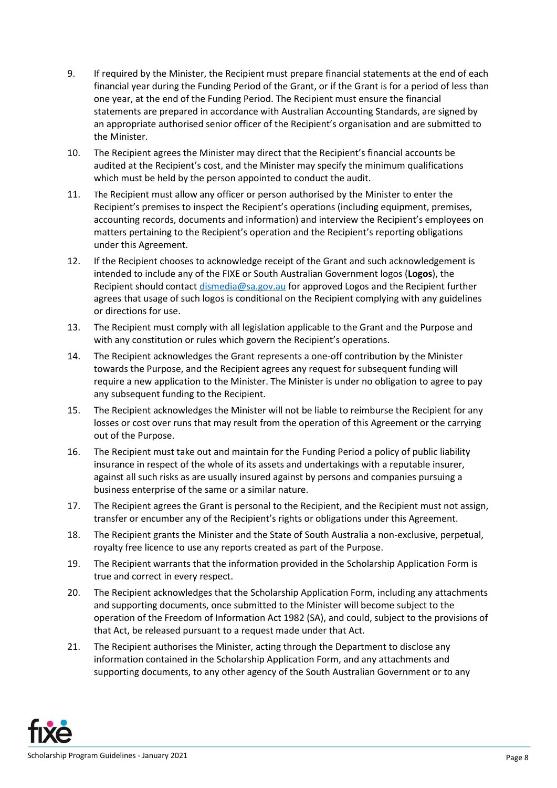- 9. If required by the Minister, the Recipient must prepare financial statements at the end of each financial year during the Funding Period of the Grant, or if the Grant is for a period of less than one year, at the end of the Funding Period. The Recipient must ensure the financial statements are prepared in accordance with Australian Accounting Standards, are signed by an appropriate authorised senior officer of the Recipient's organisation and are submitted to the Minister.
- 10. The Recipient agrees the Minister may direct that the Recipient's financial accounts be audited at the Recipient's cost, and the Minister may specify the minimum qualifications which must be held by the person appointed to conduct the audit.
- 11. The Recipient must allow any officer or person authorised by the Minister to enter the Recipient's premises to inspect the Recipient's operations (including equipment, premises, accounting records, documents and information) and interview the Recipient's employees on matters pertaining to the Recipient's operation and the Recipient's reporting obligations under this Agreement.
- 12. If the Recipient chooses to acknowledge receipt of the Grant and such acknowledgement is intended to include any of the FIXE or South Australian Government logos (**Logos**), the Recipient should contact [dismedia@sa.gov.au](mailto:dismedia@sa.gov.au) for approved Logos and the Recipient further agrees that usage of such logos is conditional on the Recipient complying with any guidelines or directions for use.
- 13. The Recipient must comply with all legislation applicable to the Grant and the Purpose and with any constitution or rules which govern the Recipient's operations.
- 14. The Recipient acknowledges the Grant represents a one-off contribution by the Minister towards the Purpose, and the Recipient agrees any request for subsequent funding will require a new application to the Minister. The Minister is under no obligation to agree to pay any subsequent funding to the Recipient.
- 15. The Recipient acknowledges the Minister will not be liable to reimburse the Recipient for any losses or cost over runs that may result from the operation of this Agreement or the carrying out of the Purpose.
- 16. The Recipient must take out and maintain for the Funding Period a policy of public liability insurance in respect of the whole of its assets and undertakings with a reputable insurer, against all such risks as are usually insured against by persons and companies pursuing a business enterprise of the same or a similar nature.
- 17. The Recipient agrees the Grant is personal to the Recipient, and the Recipient must not assign, transfer or encumber any of the Recipient's rights or obligations under this Agreement.
- 18. The Recipient grants the Minister and the State of South Australia a non-exclusive, perpetual, royalty free licence to use any reports created as part of the Purpose.
- 19. The Recipient warrants that the information provided in the Scholarship Application Form is true and correct in every respect.
- 20. The Recipient acknowledges that the Scholarship Application Form, including any attachments and supporting documents, once submitted to the Minister will become subject to the operation of the Freedom of Information Act 1982 (SA), and could, subject to the provisions of that Act, be released pursuant to a request made under that Act.
- 21. The Recipient authorises the Minister, acting through the Department to disclose any information contained in the Scholarship Application Form, and any attachments and supporting documents, to any other agency of the South Australian Government or to any